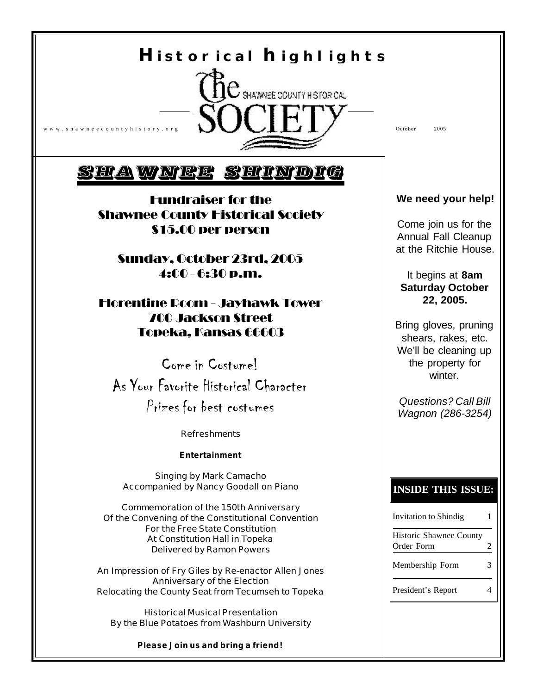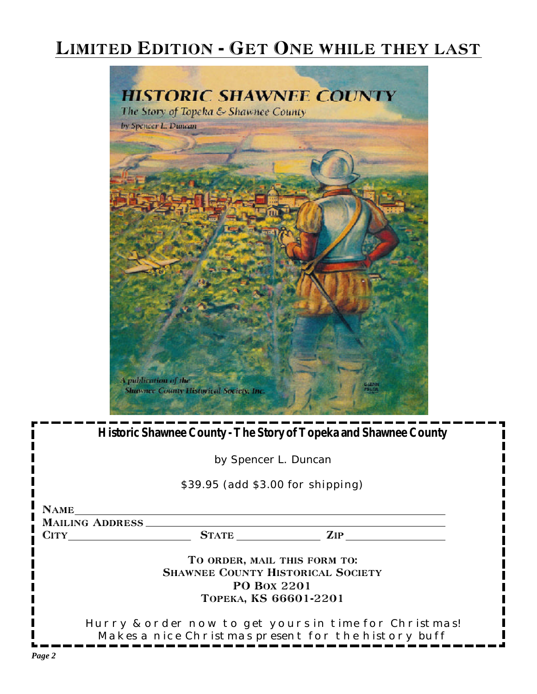## Limited Edition - Get One while they last



**Historic Shawnee County - The Story of Topeka and Shawnee County** *by Spencer L. Duncan* \$39.95 (add \$3.00 for shipping) NAME MAILING ADDRESS CITY STATE ZIP TO ORDER, MAIL THIS FORM TO: SHAWNEE COUNTY HISTORICAL SOCIETY PO Box 2201 Topeka, KS 66601-2201 Hurry & order now to get yours in time for Christmas! Makes a nice Christmas present for the history buff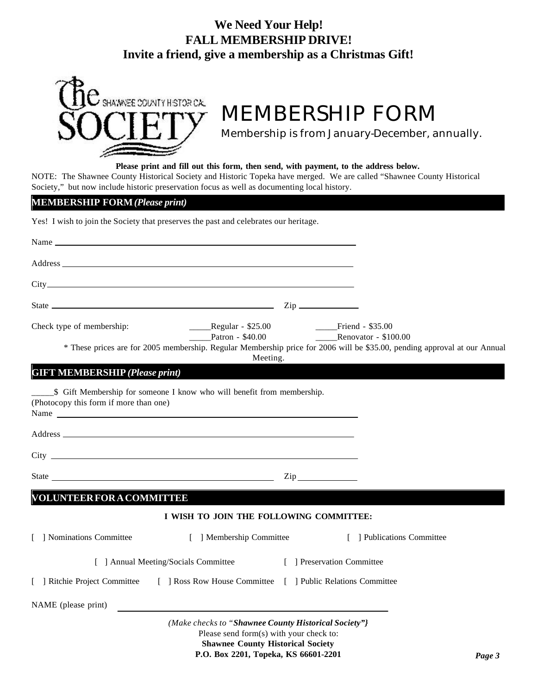## **We Need Your Help! FALL MEMBERSHIP DRIVE! Invite a friend, give a membership as a Christmas Gift!**



# **MEMBERSHIP FORM**

*Membership is from January-December, annually.*

#### **Please print and fill out this form, then send, with payment, to the address below.**

NOTE: The Shawnee County Historical Society and Historic Topeka have merged. We are called "Shawnee County Historical Society," but now include historic preservation focus as well as documenting local history.

### **MEMBERSHIP FORM** *(Please print)*

Yes! I wish to join the Society that preserves the past and celebrates our heritage.

| State <u>Constantine and the state of the state of</u> the state of the state of the state of the state of the state of the state of the state of the state of the state of the state of the state of the state of the state of the |                                                                                                                                             |                                                    |                                                                                                                           |
|-------------------------------------------------------------------------------------------------------------------------------------------------------------------------------------------------------------------------------------|---------------------------------------------------------------------------------------------------------------------------------------------|----------------------------------------------------|---------------------------------------------------------------------------------------------------------------------------|
| Check type of membership:                                                                                                                                                                                                           | _____Regular - \$25.00<br>Patron - \$40.00                                                                                                  | ___Friend - \$35.00<br><b>Renovator - \$100.00</b> |                                                                                                                           |
|                                                                                                                                                                                                                                     | Meeting.                                                                                                                                    |                                                    | * These prices are for 2005 membership. Regular Membership price for 2006 will be \$35.00, pending approval at our Annual |
| <b>GIFT MEMBERSHIP (Please print)</b>                                                                                                                                                                                               |                                                                                                                                             |                                                    |                                                                                                                           |
| _\$ Gift Membership for someone I know who will benefit from membership.<br>(Photocopy this form if more than one)                                                                                                                  |                                                                                                                                             |                                                    |                                                                                                                           |
|                                                                                                                                                                                                                                     |                                                                                                                                             |                                                    |                                                                                                                           |
|                                                                                                                                                                                                                                     |                                                                                                                                             |                                                    |                                                                                                                           |
| <b>VOLUNTEER FOR A COMMITTEE</b>                                                                                                                                                                                                    |                                                                                                                                             |                                                    |                                                                                                                           |
|                                                                                                                                                                                                                                     | I WISH TO JOIN THE FOLLOWING COMMITTEE:                                                                                                     |                                                    |                                                                                                                           |
| [ ] Nominations Committee                                                                                                                                                                                                           | [ ] Membership Committee                                                                                                                    |                                                    | [ ] Publications Committee                                                                                                |
|                                                                                                                                                                                                                                     | [ ] Annual Meeting/Socials Committee                                                                                                        | [ ] Preservation Committee                         |                                                                                                                           |
| [ ] Ritchie Project Committee [ ] Ross Row House Committee [ ] Public Relations Committee                                                                                                                                           |                                                                                                                                             |                                                    |                                                                                                                           |
| NAME (please print)                                                                                                                                                                                                                 |                                                                                                                                             |                                                    |                                                                                                                           |
|                                                                                                                                                                                                                                     | (Make checks to "Shawnee County Historical Society"}<br>Please send form(s) with your check to:<br><b>Shawnee County Historical Society</b> |                                                    |                                                                                                                           |

**P.O. Box 2201, Topeka, KS 66601-2201**